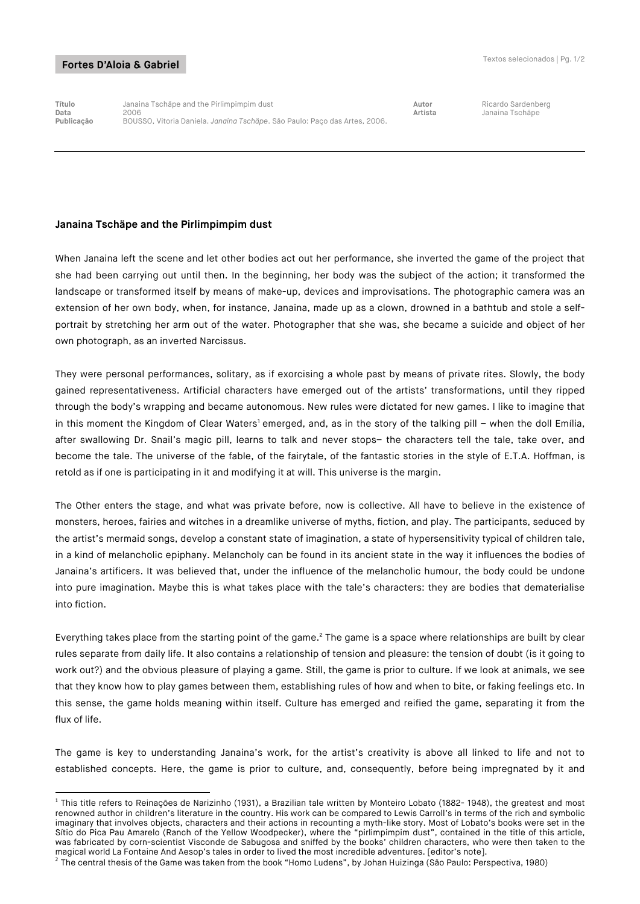**Título** Janaina Tschäpe and the Pirlimpimpim dust **Autor** Ricardo Sardenberg **Data** 2006 **Artista** Janaina Tschäpe **Publicação** BOUSSO, Vitoria Daniela. *Janaina Tschäpe*. São Paulo: Paço das Artes, 2006.

## **Janaina Tschäpe and the Pirlimpimpim dust**

When Janaina left the scene and let other bodies act out her performance, she inverted the game of the project that she had been carrying out until then. In the beginning, her body was the subject of the action; it transformed the landscape or transformed itself by means of make-up, devices and improvisations. The photographic camera was an extension of her own body, when, for instance, Janaina, made up as a clown, drowned in a bathtub and stole a selfportrait by stretching her arm out of the water. Photographer that she was, she became a suicide and object of her own photograph, as an inverted Narcissus.

They were personal performances, solitary, as if exorcising a whole past by means of private rites. Slowly, the body gained representativeness. Artificial characters have emerged out of the artists' transformations, until they ripped through the body's wrapping and became autonomous. New rules were dictated for new games. I like to imagine that in this moment the Kingdom of Clear Waters<sup>1</sup> emerged, and, as in the story of the talking pill - when the doll Emília, after swallowing Dr. Snail's magic pill, learns to talk and never stops– the characters tell the tale, take over, and become the tale. The universe of the fable, of the fairytale, of the fantastic stories in the style of E.T.A. Hoffman, is retold as if one is participating in it and modifying it at will. This universe is the margin.

The Other enters the stage, and what was private before, now is collective. All have to believe in the existence of monsters, heroes, fairies and witches in a dreamlike universe of myths, fiction, and play. The participants, seduced by the artist's mermaid songs, develop a constant state of imagination, a state of hypersensitivity typical of children tale, in a kind of melancholic epiphany. Melancholy can be found in its ancient state in the way it influences the bodies of Janaina's artificers. It was believed that, under the influence of the melancholic humour, the body could be undone into pure imagination. Maybe this is what takes place with the tale's characters: they are bodies that dematerialise into fiction.

Everything takes place from the starting point of the game.<sup>2</sup> The game is a space where relationships are built by clear rules separate from daily life. It also contains a relationship of tension and pleasure: the tension of doubt (is it going to work out?) and the obvious pleasure of playing a game. Still, the game is prior to culture. If we look at animals, we see that they know how to play games between them, establishing rules of how and when to bite, or faking feelings etc. In this sense, the game holds meaning within itself. Culture has emerged and reified the game, separating it from the flux of life.

The game is key to understanding Janaina's work, for the artist's creativity is above all linked to life and not to established concepts. Here, the game is prior to culture, and, consequently, before being impregnated by it and

 $1$  This title refers to Reinações de Narizinho (1931), a Brazilian tale written by Monteiro Lobato (1882-1948), the greatest and most renowned author in children's literature in the country. His work can be compared to Lewis Carroll's in terms of the rich and symbolic imaginary that involves objects, characters and their actions in recounting a myth-like story. Most of Lobato's books were set in the Sítio do Pica Pau Amarelo (Ranch of the Yellow Woodpecker), where the "pirlimpimpim dust", contained in the title of this article, was fabricated by corn-scientist Visconde de Sabugosa and sniffed by the books' children characters, who were then taken to the magical world La Fontaine And Aesop's tales in order to lived the most incredible adventures. [editor's note].

 $^2$  The central thesis of the Game was taken from the book "Homo Ludens", by Johan Huizinga (São Paulo: Perspectiva, 1980)